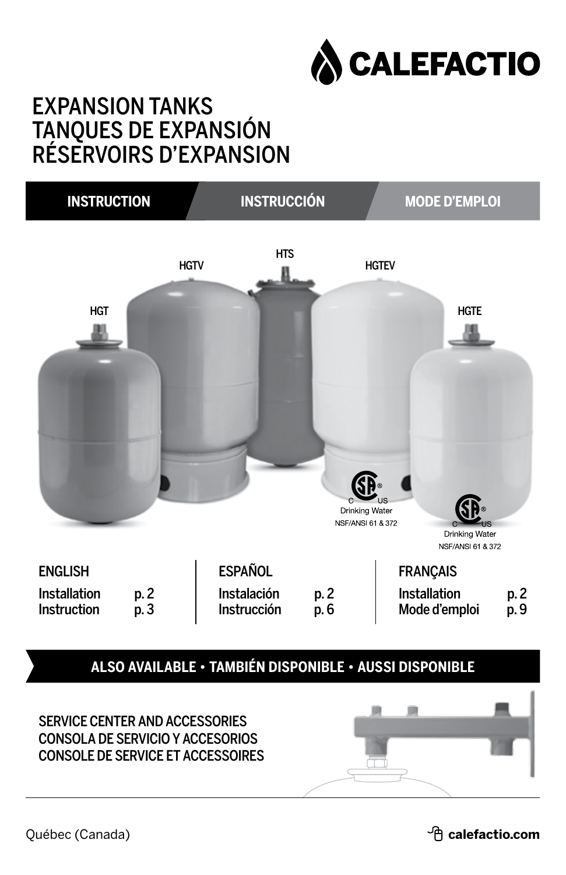

## EXPANSION TANKS TANQUES DE EXPANSIÓN RÉSERVOIRS D'EXPANSION

| <b>INSTRUCTION</b>          |                   | <b>INSTRUCCIÓN</b>         |                                                             |                               | <b>MODE D'EMPLOI</b>                                            |
|-----------------------------|-------------------|----------------------------|-------------------------------------------------------------|-------------------------------|-----------------------------------------------------------------|
| <b>HGT</b>                  | <b>HGTV</b>       | <b>HTS</b>                 | C.<br><b>Drinking Water</b><br><b>NSF/ANSI 61 &amp; 372</b> | <b>HGTEV</b><br>LIS           | <b>HGTE</b><br><b>US</b><br>Drinking Water<br>NSF/ANSI 61 & 372 |
| <b>ENGLISH</b>              |                   | <b>ESPAÑOL</b>             |                                                             | <b>FRANÇAIS</b>               |                                                                 |
| Installation<br>Instruction | p. 2<br>.<br>p. 3 | Instalación<br>Instrucción | p. 2<br>p. 6                                                | Installation<br>Mode d'emploi | p. 2<br>p. 9                                                    |

**also available • también disponible • aussi disponible**



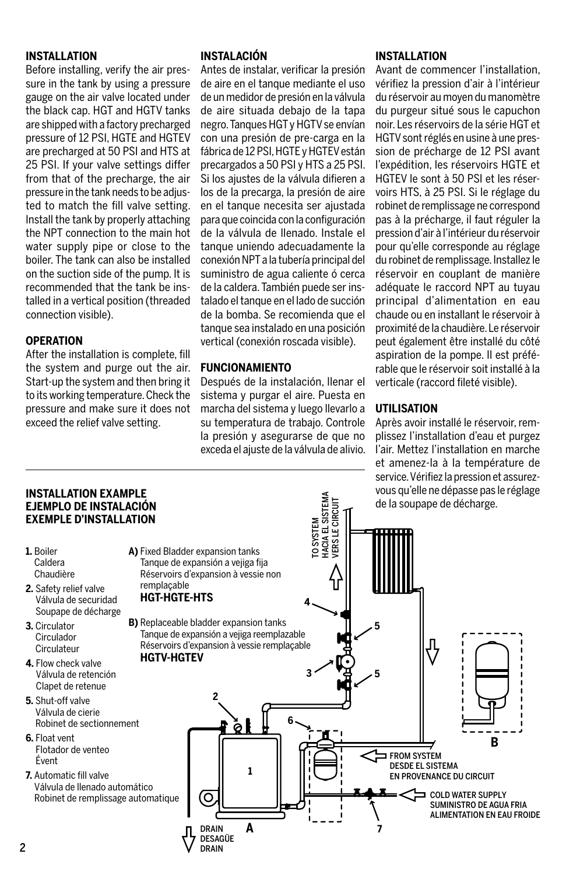#### **INSTALLATION**

Before installing, verify the air pressure in the tank by using a pressure gauge on the air valve located under the black cap. HGT and HGTV tanks are shipped with a factory precharged pressure of 12 PSI, HGTE and HGTEV are precharged at 50 PSI and HTS at 25 PSI. If your valve settings differ from that of the precharge, the air pressure in the tank needs to be adjusted to match the fill valve setting. Install the tank by properly attaching the NPT connection to the main hot water supply pipe or close to the boiler. The tank can also be installed on the suction side of the pump. It is recommended that the tank be installed in a vertical position (threaded connection visible).

#### **OPERATION**

After the installation is complete, fill the system and purge out the air. Start-up the system and then bring it to its working temperature. Check the pressure and make sure it does not exceed the relief valve setting.

#### **INSTALACIÓN**

Antes de instalar, verificar la presión de aire en el tanque mediante el uso de un medidor de presión en la válvula de aire situada debajo de la tapa negro. Tanques HGT y HGTV se envían con una presión de pre-carga en la fábrica de 12 PSI, HGTE y HGTEV están precargados a 50 PSI y HTS a 25 PSI. Si los ajustes de la válvula difieren a los de la precarga, la presión de aire en el tanque necesita ser ajustada para que coincida con la configuración de la válvula de llenado. Instale el tanque uniendo adecuadamente la conexión NPT a la tubería principal del suministro de agua caliente ó cerca de la caldera. También puede ser insta lado el tanque en el lado de succión de la bomba. Se recomienda que el tanque sea instalado en una posición vertical (conexión roscada visible).

#### **FUNCIONAMIENTO**

Después de la instalación, llenar el sistema y purgar el aire. Puesta en marcha del sistema y luego llevarlo a su temperatura de trabajo. Controle la presión y asegurarse de que no exceda el ajuste de la válvula de alivio.

#### **INSTALLATION**

Avant de commencer l'installation, vérifiez la pression d'air à l'intérieur du réser voir au moyen du manomètre du purgeur situé sous le capuchon noir. Les réser voirs de la série HGT et HGTV sont réglés en usine à une pression de précharge de 12 PSI avant l'expédition, les réservoirs HGTE et HGTEV le sont à 50 PSI et les réservoirs HTS, à 25 PSI. Si le réglage du robinet de remplissage ne correspond pas à la précharge, il faut réguler la pression d'air à l'intérieur du réservoir pour qu'elle corresponde au réglage du robinet de remplissage. Installez le réservoir en couplant de manière adéquate le raccord NPT au tuyau prin cipal d'alimentation en eau chaude ou en installant le réservoir à proxi mité de la chaudière. Le réservoir peut égale ment être installé du côté aspiration de la pompe. Il est préférable que le réservoir soit installé à la verticale (raccord fileté visible).

#### **UTILISATION**

Après avoir installé le réservoir, remplis sez l'installation d'eau et purgez l'air. Mettez l'installation en marche et amenez-la à la température de service. Vérifiez la pression et assurezvous qu'elle ne dépasse pas le réglage de la soupape de décharge.

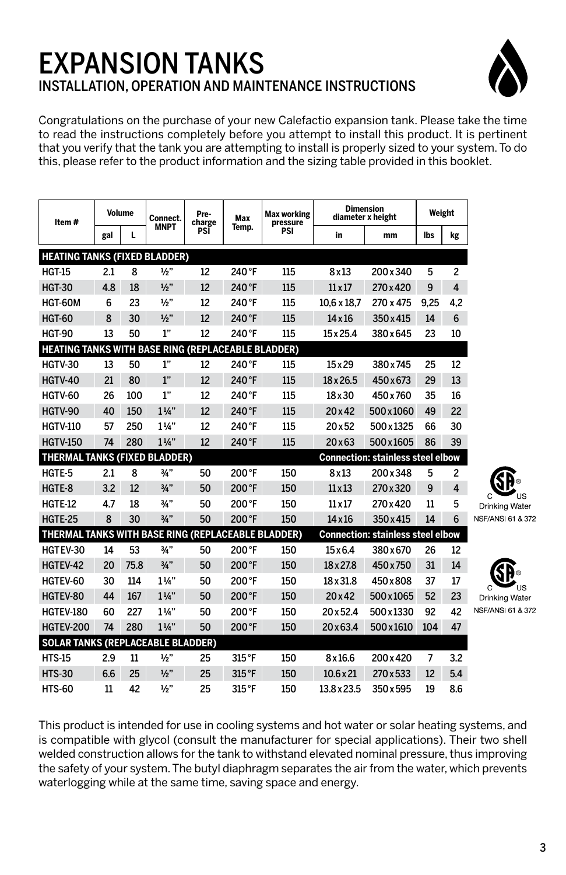## EXPANSION TANKS INSTALLATION, OPERATION AND MAINTENANCE INSTRUCTIONS



Congratulations on the purchase of your new Calefactio expansion tank. Please take the time to read the instructions completely before you attempt to install this product. It is pertinent that you verify that the tank you are attempting to install is properly sized to your system. To do this, please refer to the product information and the sizing table provided in this booklet.

| ltem #                                                    |     | <b>Volume</b> | Connect.       | Pre-<br>charge | Max    | Max working<br>pressure |                    | <b>Dimension</b><br>diameter x height    | Weight |                |                   |
|-----------------------------------------------------------|-----|---------------|----------------|----------------|--------|-------------------------|--------------------|------------------------------------------|--------|----------------|-------------------|
|                                                           | gal | L             | MNPT           | PSI            | Temp.  | PSI                     | in                 | mm                                       | lbs    | kg             |                   |
| <b>HEATING TANKS (FIXED BLADDER)</b>                      |     |               |                |                |        |                         |                    |                                          |        |                |                   |
| <b>HGT-15</b>                                             | 2.1 | 8             | 1/2"           | 12             | 240 °F | 115                     | 8x13               | 200x340                                  | 5      | $\overline{c}$ |                   |
| <b>HGT-30</b>                                             | 4.8 | 18            | 1/2"           | 12             | 240 °F | 115                     | $11 \times 17$     | 270 x 420                                | 9      | $\overline{4}$ |                   |
| HGT-60M                                                   | 6   | 23            | 1/2"           | 12             | 240 °F | 115                     | $10.6 \times 18.7$ | 270 x 475                                | 9.25   | 4.2            |                   |
| <b>HGT-60</b>                                             | 8   | 30            | 1/2"           | 12             | 240 °F | 115                     | $14 \times 16$     | 350 x 415                                | 14     | 6              |                   |
| <b>HGT-90</b>                                             | 13  | 50            | 1"             | 12             | 240 °F | 115                     | $15 \times 25.4$   | 380x645                                  | 23     | 10             |                   |
| <b>HEATING TANKS WITH BASE RING (REPLACEABLE BLADDER)</b> |     |               |                |                |        |                         |                    |                                          |        |                |                   |
| HGTV-30                                                   | 13  | 50            | 1"             | 12             | 240°F  | 115                     | 15x29              | 380 x 745                                | 25     | 12             |                   |
| <b>HGTV-40</b>                                            | 21  | 80            | 1"             | 12             | 240°F  | 115                     | $18 \times 26.5$   | 450x673                                  | 29     | 13             |                   |
| HGTV-60                                                   | 26  | 100           | 1"             | 12             | 240°F  | 115                     | 18 x 30            | 450x760                                  | 35     | 16             |                   |
| HGTV-90                                                   | 40  | 150           | $1\frac{1}{4}$ | 12             | 240°F  | 115                     | $20 \times 42$     | 500x1060                                 | 49     | 22             |                   |
| <b>HGTV-110</b>                                           | 57  | 250           | $1\frac{1}{4}$ | 12             | 240°F  | 115                     | 20x52              | 500x1325                                 | 66     | 30             |                   |
| <b>HGTV-150</b>                                           | 74  | 280           | $1\frac{1}{4}$ | 12             | 240°F  | 115                     | 20x63              | 500x1605                                 | 86     | 39             |                   |
| <b>THERMAL TANKS (FIXED BLADDER)</b>                      |     |               |                |                |        |                         |                    | <b>Connection: stainless steel elbow</b> |        |                |                   |
| HGTE-5                                                    | 2.1 | 8             | 3/4"           | 50             | 200°F  | 150                     | 8x13               | 200x348                                  | 5      | $\overline{c}$ |                   |
| HGTE-8                                                    | 3.2 | 12            | 3/4"           | 50             | 200°F  | 150                     | $11 \times 13$     | 270 x 320                                | 9      | 4              | US                |
| HGTE-12                                                   | 4.7 | 18            | 3/4"           | 50             | 200°F  | 150                     | $11 \times 17$     | 270 x 420                                | 11     | 5              | Drinking Water    |
| <b>HGTE-25</b>                                            | 8   | 30            | 3/4"           | 50             | 200°F  | 150                     | $14 \times 16$     | 350x415                                  | 14     | 6              | NSF/ANSI 61 & 372 |
| THERMAL TANKS WITH BASE RING (REPLACEABLE BLADDER)        |     |               |                |                |        |                         |                    | <b>Connection: stainless steel elbow</b> |        |                |                   |
| HGTEV-30                                                  | 14  | 53            | 3/4"           | 50             | 200°F  | 150                     | 15x6.4             | 380x670                                  | 26     | 12             |                   |
| HGTEV-42                                                  | 20  | 75.8          | 3/4"           | 50             | 200°F  | 150                     | 18 x 27.8          | 450 x 750                                | 31     | 14             |                   |
| HGTEV-60                                                  | 30  | 114           | $1\frac{1}{4}$ | 50             | 200°F  | 150                     | 18 x 31.8          | 450x808                                  | 37     | 17             | US                |
| HGTEV-80                                                  | 44  | 167           | $1\frac{1}{4}$ | 50             | 200°F  | 150                     | 20x42              | 500x1065                                 | 52     | 23             | Drinking Water    |
| <b>HGTEV-180</b>                                          | 60  | 227           | $1\frac{1}{4}$ | 50             | 200°F  | 150                     | 20x52.4            | 500x1330                                 | 92     | 42             | NSF/ANSI 61 & 372 |
| <b>HGTEV-200</b>                                          | 74  | 280           | $1\frac{1}{4}$ | 50             | 200°F  | 150                     | $20 \times 63.4$   | 500 x 1610                               | 104    | 47             |                   |
| <b>SOLAR TANKS (REPLACEABLE BLADDER)</b>                  |     |               |                |                |        |                         |                    |                                          |        |                |                   |
| <b>HTS-15</b>                                             | 2.9 | 11            | 1/2"           | 25             | 315°F  | 150                     | 8x16.6             | 200 x 420                                | 7      | 3.2            |                   |
| <b>HTS-30</b>                                             | 6.6 | 25            | 1/2"           | 25             | 315°F  | 150                     | $10.6 \times 21$   | 270 x 533                                | 12     | 5.4            |                   |
| <b>HTS-60</b>                                             | 11  | 42            | 1/2"           | 25             | 315°F  | 150                     | 13.8 x 23.5        | 350x595                                  | 19     | 8.6            |                   |

This product is intended for use in cooling systems and hot water or solar heating systems, and is compatible with glycol (consult the manufacturer for special applications). Their two shell welded construction allows for the tank to withstand elevated nominal pressure, thus improving the safety of your system. The butyl diaphragm separates the air from the water, which prevents waterlogging while at the same time, saving space and energy.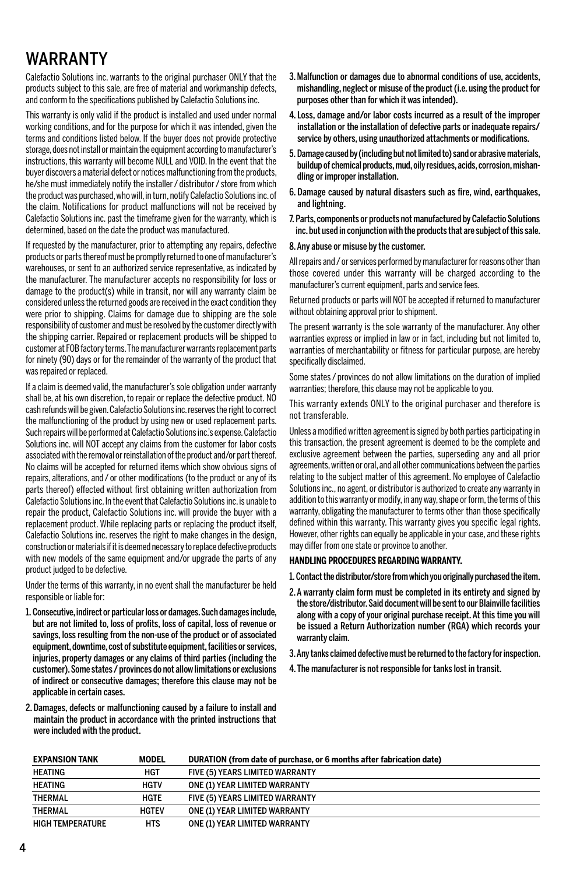## WARRANTY

Calefactio Solutions inc. warrants to the original purchaser ONLY that the products subject to this sale, are free of material and workmanship defects, and conform to the specifications published by Calefactio Solutions inc.

This warranty is only valid if the product is installed and used under normal working conditions, and for the purpose for which it was intended, given the terms and conditions listed below. If the buyer does not provide protective storage, does not install or maintain the equipment according to manufacturer's instructions, this warranty will become NULL and VOID. ln the event that the buyer discovers a material defect or notices malfunctioning from the products, he/she must immediately notify the installer / distributor / store from which the product was purchased, who will, in turn, notify Calefactio Solutions inc. of the claim. Notifications for product malfunctions will not be received by Calefactio Solutions inc. past the timeframe given for the warranty, which is determined, based on the date the product was manufactured.

If requested by the manufacturer, prior to attempting any repairs, defective products or parts thereof must be promptly returned to one of manufacturer's warehouses, or sent to an authorized service representative, as indicated by the manufacturer. The manufacturer accepts no responsibility for loss or damage to the product(s) while in transit, nor will any warranty claim be considered unless the returned goods are received in the exact condition they were prior to shipping. Claims for damage due to shipping are the sole responsibility of customer and must be resolved by the customer directly with the shipping carrier. Repaired or replacement products will be shipped to customer at FOB factory terms. The manufacturer warrants replacement parts for ninety (90) days or for the remainder of the warranty of the product that was repaired or replaced.

If a claim is deemed valid, the manufacturer's sole obligation under warranty shall be, at his own discretion, to repair or replace the defective product. NO cash refunds will be given. Calefactio Solutions inc. reserves the right to correct the malfunctioning of the product by using new or used replacement parts. Such repairs will be performed at Calefactio Solutions inc.'s expense. Calefactio Solutions inc. will NOT accept any claims from the customer for labor costs associated with the removal or reinstallation of the product and/or part thereof. No claims will be accepted for returned items which show obvious signs of repairs, alterations, and / or other modifications (to the product or any of its parts thereof) effected without first obtaining written authorization from Calefactio Solutions inc. ln the event that Calefactio Solutions inc. is unable to repair the product, Calefactio Solutions inc. will provide the buyer with a replacement product. While replacing parts or replacing the product itself, Calefactio Solutions inc. reserves the right to make changes in the design, construction or materials if it is deemed necessary to replace defective products with new models of the same equipment and/or upgrade the parts of any product judged to be defective.

Under the terms of this warranty, in no event shall the manufacturer be held responsible or liable for:

- 1. Consecutive, indirect or particular loss or damages. Such damages include, but are not limited to, loss of profits, loss of capital, loss of revenue or savings, loss resulting from the non-use of the product or of associated equipment, downtime, cost of substitute equipment, facilities or services, injuries, property damages or any claims of third parties (including the customer). Some states / provinces do not allow limitations or exclusions of indirect or consecutive damages; therefore this clause may not be applicable in certain cases.
- 2. Damages, defects or malfunctioning caused by a failure to install and maintain the product in accordance with the printed instructions that were included with the product.
- 3. Malfunction or damages due to abnormal conditions of use, accidents, mishandling, neglect or misuse of the product (i.e. using the product for purposes other than for which it was intended).
- 4. Loss, damage and/or labor costs incurred as a result of the improper installation or the installation of defective parts or inadequate repairs/ service by others, using unauthorized attachments or modifications.
- 5. Damage caused by (including but not limited to) sand or abrasive materials, buildup of chemical products, mud, oily residues, acids, corrosion, mishandling or improper installation.
- 6. Damage caused by natural disasters such as fire, wind, earthquakes, and lightning.
- 7. Parts, components or products not manufactured by Calefactio Solutions inc. but used in conjunction with the products that are subject of this sale.

#### 8. Any abuse or misuse by the customer.

All repairs and / or services performed by manufacturer for reasons other than those covered under this warranty will be charged according to the manufacturer's current equipment, parts and service fees.

Returned products or parts will NOT be accepted if returned to manufacturer without obtaining approval prior to shipment.

The present warranty is the sole warranty of the manufacturer. Any other warranties express or implied in law or in fact, including but not limited to, warranties of merchantability or fitness for particular purpose, are hereby specifically disclaimed.

Some states / provinces do not allow limitations on the duration of implied warranties; therefore, this clause may not be applicable to you.

This warranty extends ONLY to the original purchaser and therefore is not transferable.

Unless a modified written agreement is signed by both parties participating in this transaction, the present agreement is deemed to be the complete and exclusive agreement between the parties, superseding any and all prior agreements, written or oral, and all other communications between the parties relating to the subject matter of this agreement. No employee of Calefactio Solutions inc., no agent, or distributor is authorized to create any warranty in addition to this warranty or modify, in any way, shape or form, the terms of this warranty, obligating the manufacturer to terms other than those specifically defined within this warranty. This warranty gives you specific legal rights. However, other rights can equally be applicable in your case, and these rights may differ from one state or province to another.

#### **HANDLING PROCEDURES REGARDING WARRANTY.**

1. Contact the distributor/store from which you originally purchased the item.

- 2. A warranty claim form must be completed in its entirety and signed by the store/distributor. Said document will be sent to our Blainville facilities along with a copy of your original purchase receipt. At this time you will be issued a Return Authorization number (RGA) which records your warranty claim.
- 3. Any tanks claimed defective must be returned to the factory for inspection.
- 4. The manufacturer is not responsible for tanks lost in transit.

| <b>EXPANSION TANK</b>   | <b>MODEL</b> | DURATION (from date of purchase, or 6 months after fabrication date) |
|-------------------------|--------------|----------------------------------------------------------------------|
| HEATING                 | <b>HGT</b>   | FIVE (5) YEARS LIMITED WARRANTY                                      |
| <b>HEATING</b>          | <b>HGTV</b>  | ONE (1) YEAR LIMITED WARRANTY                                        |
| <b>THERMAL</b>          | HGTE         | FIVE (5) YEARS LIMITED WARRANTY                                      |
| <b>THERMAL</b>          | <b>HGTEV</b> | ONE (1) YEAR LIMITED WARRANTY                                        |
| <b>HIGH TEMPERATURE</b> | <b>HTS</b>   | ONE (1) YEAR LIMITED WARRANTY                                        |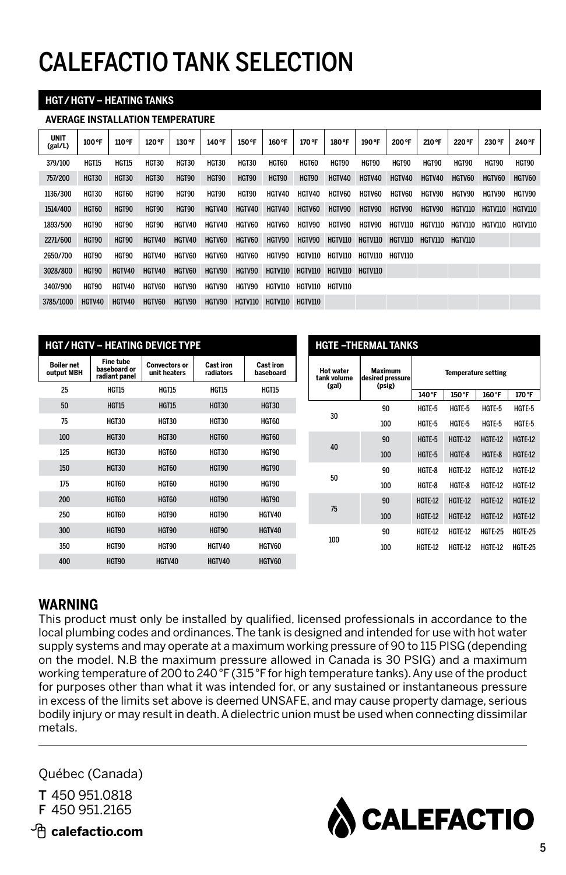## CALEFACTIO TANK SELECTION

#### **HGT / HGTV – HEATING TANKS**

#### **AVERAGE INSTALLATION TEMPERATURE**

| <b>UNIT</b><br>(gal/L) | 100°F  | 110°F        | 120 °F       | 130 °F        | 140°F        | 150 °F        | 160 °F         | 170°F          | 180°F          | 190 °F        | 200°F         | 210 °F          | 220 °F  | 230 °F         | 240°F          |
|------------------------|--------|--------------|--------------|---------------|--------------|---------------|----------------|----------------|----------------|---------------|---------------|-----------------|---------|----------------|----------------|
| 379/100                | HGT15  | <b>HGT15</b> | HGT30        | HGT30         | HGT30        | HGT30         | HGT60          | HGT60          | HGT90          | HGT90         | HGT90         | HGT90           | HGT90   | HGT90          | <b>HGT90</b>   |
| 757/200                | HGT30  | <b>HGT30</b> | <b>HGT30</b> | HGT90         | HGT90        | HGT90         | HGT90          | <b>HGT90</b>   | HGTV40         | HGTV40        | HGTV40        | HGTV40          | HGTV60  | HGTV60         | HGTV60         |
| 1136/300               | HGT30  | HGT60        | HGT90        | HGT90         | <b>HGT90</b> | <b>HGT90</b>  | HGTV40         | HGTV40         | HGTV60         | HGTV60        | <b>HGTV60</b> | HGTV90          | HGTV90  | HGTV90         | HGTV90         |
| 1514/400               | HGT60  | HGT90        | HGT90        | HGT90         | HGTV40       | HGTV40        | HGTV40         | HGTV60         | HGTV90         | HGTV90        | HGTV90        | HGTV90          | HGTV110 | <b>HGTV110</b> | <b>HGTV110</b> |
| 1893/500               | HGT90  | <b>HGT90</b> | HGT90        | HGTV40        | HGTV40       | HGTV60        | <b>HGTV60</b>  | HGTV90         | <b>HGTV90</b>  | <b>HGTV90</b> | HGTV110       | HGTV110         | HGTV110 | <b>HGTV110</b> | HGTV110        |
| 2271/600               | HGT90  | <b>HGT90</b> | HGTV40       | HGTV40        | HGTV60       | HGTV60        | HGTV90         | <b>HGTV90</b>  | <b>HGTV110</b> | HGTV110       | HGTV110       | HGTV110 HGTV110 |         |                |                |
| 2650/700               | HGT90  | <b>HGT90</b> | HGTV40       | <b>HGTV60</b> | HGTV60       | HGTV60        | HGTV90         | HGTV110        | HGTV110        | HGTV110       | HGTV110       |                 |         |                |                |
| 3028/800               | HGT90  | HGTV40       | HGTV40       | HGTV60        | HGTV90       | HGTV90        | HGTV110        | <b>HGTV110</b> | <b>HGTV110</b> | HGTV110       |               |                 |         |                |                |
| 3407/900               | HGT90  | HGTV40       | HGTV60       | HGTV90        | HGTV90       | <b>HGTV90</b> | HGTV110        | HGTV110        | HGTV110        |               |               |                 |         |                |                |
| 3785/1000              | HGTV40 | HGTV40       | HGTV60       | HGTV90        | HGTV90       | HGTV110       | <b>HGTV110</b> | HGTV110        |                |               |               |                 |         |                |                |

|                                 |                                                   | <b>HGT/HGTV – HEATING DEVICE TYPE</b> |                               |                               |                                 | <b>HGTE-THERMAL TANKS</b>          |                |                            |
|---------------------------------|---------------------------------------------------|---------------------------------------|-------------------------------|-------------------------------|---------------------------------|------------------------------------|----------------|----------------------------|
| <b>Boiler net</b><br>output MBH | <b>Fine tube</b><br>baseboard or<br>radiant panel | <b>Convectors or</b><br>unit heaters  | <b>Cast iron</b><br>radiators | <b>Cast iron</b><br>baseboard | <b>Hot water</b><br>tank volume | <b>Maximum</b><br>desired pressure |                | <b>Temperature setting</b> |
| 25                              | <b>HGT15</b>                                      | <b>HGT15</b>                          | <b>HGT15</b>                  | <b>HGT15</b>                  | (gal)                           | (psig)                             | 140°F          | 150°F                      |
| 50                              | <b>HGT15</b>                                      | <b>HGT15</b>                          | <b>HGT30</b>                  | <b>HGT30</b>                  |                                 | 90                                 | HGTE-5         | HGTE-5                     |
| 75                              | HGT30                                             | HGT30                                 | HGT30                         | HGT60                         | 30                              | 100                                | HGTE-5         | HGTE-5                     |
| 100                             | <b>HGT30</b>                                      | <b>HGT30</b>                          | <b>HGT60</b>                  | <b>HGT60</b>                  |                                 | 90                                 | HGTE-5         | <b>HGTE-12</b>             |
| 125                             | <b>HGT30</b>                                      | <b>HGT60</b>                          | <b>HGT30</b>                  | <b>HGT90</b>                  | 40                              | 100                                | HGTE-5         | HGTE-8                     |
| 150                             | <b>HGT30</b>                                      | <b>HGT60</b>                          | <b>HGT90</b>                  | HGT90                         |                                 | 90                                 | HGTE-8         | HGTE-12                    |
| 175                             | HGT60                                             | HGT60                                 | HGT90                         | HGT90                         | 50                              | 100                                | HGTE-8         | HGTE-8                     |
| 200                             | <b>HGT60</b>                                      | <b>HGT60</b>                          | HGT90                         | HGT90                         |                                 | 90                                 | <b>HGTE-12</b> | <b>HGTE-12</b>             |
| 250                             | <b>HGT60</b>                                      | <b>HGT90</b>                          | <b>HGT90</b>                  | HGTV40                        | 75                              | 100                                | <b>HGTE-12</b> | <b>HGTE-12</b>             |
| 300                             | HGT90                                             | HGT90                                 | HGT90                         | HGTV40                        |                                 | 90                                 | <b>HGTE-12</b> | HGTE-12                    |
| 350                             | <b>HGT90</b>                                      | HGT90                                 | HGTV40                        | HGTV60                        | 100                             | 100                                | <b>HGTE-12</b> | HGTE-12                    |
| 400                             | <b>HGT90</b>                                      | HGTV40                                | HGTV40                        | HGTV60                        |                                 |                                    |                |                            |

#### **WARNING**

This product must only be installed by qualified, licensed professionals in accordance to the local plumbing codes and ordinances. The tank is designed and intended for use with hot water supply systems and may operate at a maximum working pressure of 90 to 115 PISG (depending on the model. N.B the maximum pressure allowed in Canada is 30 PSIG) and a maximum working temperature of 200 to 240 °F (315 °F for high temperature tanks). Any use of the product for purposes other than what it was intended for, or any sustained or instantaneous pressure in excess of the limits set above is deemed UNSAFE, and may cause property damage, serious bodily injury or may result in death. A dielectric union must be used when connecting dissimilar metals.

Québec (Canada)

T 450 951.0818 F 450 951.2165



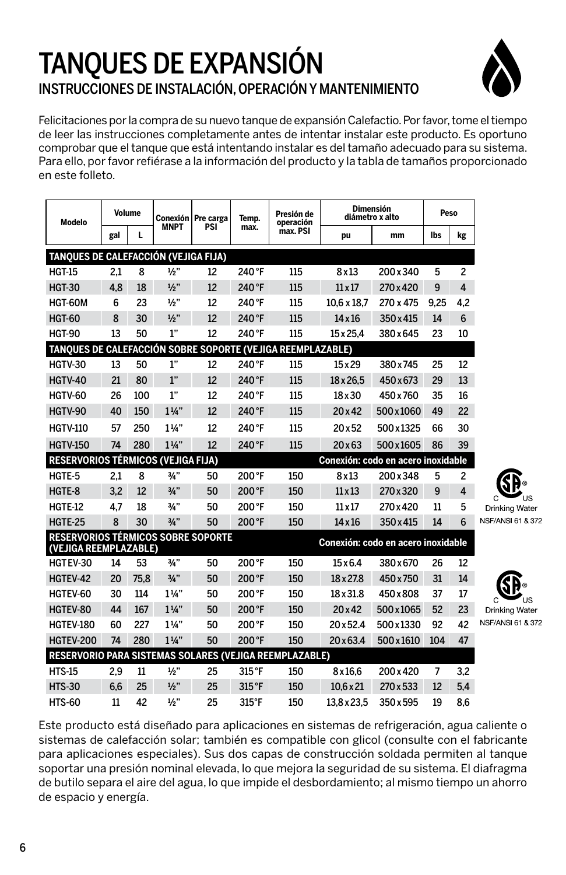## TANQUES DE EXPANSIÓN INSTRUCCIONES DE INSTALACIÓN, OPERACIÓN Y MANTENIMIENTO



Felicitaciones por la compra de su nuevo tanque de expansión Calefactio. Por favor, tome el tiempo de leer las instrucciones completamente antes de intentar instalar este producto. Es oportuno comprobar que el tanque que está intentando instalar es del tamaño adecuado para su sistema. Para ello, por favor refiérase a la información del producto y la tabla de tamaños proporcionado en este folleto.

| Modelo                                                             |     | <b>Volume</b> |                 | Conexión   Pre carga | Temp.  | Presión de<br>operación |                  | <b>Dimensión</b><br>diámetro x alto | Peso |                |
|--------------------------------------------------------------------|-----|---------------|-----------------|----------------------|--------|-------------------------|------------------|-------------------------------------|------|----------------|
|                                                                    | gal | L             | <b>MNPT</b>     | PSI                  | max.   | max. PSI                | pu               | mm                                  | lbs  | kg             |
| TANOUES DE CALEFACCIÓN (VEJIGA FIJA)                               |     |               |                 |                      |        |                         |                  |                                     |      |                |
| <b>HGT-15</b>                                                      | 2.1 | 8             | 1/2"            | 12                   | 240 °F | 115                     | 8x13             | 200 x 340                           | 5    | $\overline{c}$ |
| <b>HGT-30</b>                                                      | 4.8 | 18            | 1/2"            | 12                   | 240 °F | 115                     | $11 \times 17$   | 270 x 420                           | 9    | 4              |
| HGT-60M                                                            | 6   | 23            | 1/2"            | 12                   | 240 °F | 115                     | 10.6 x 18.7      | 270 x 475                           | 9.25 | 4.2            |
| <b>HGT-60</b>                                                      | 8   | 30            | $\frac{1}{2}$ " | 12                   | 240 °F | 115                     | $14 \times 16$   | 350 x 415                           | 14   | 6              |
| <b>HGT-90</b>                                                      | 13  | 50            | 1"              | 12                   | 240 °F | 115                     | $15 \times 25.4$ | 380 x 645                           | 23   | 10             |
| TANQUES DE CALEFACCIÓN SOBRE SOPORTE (VEJIGA REEMPLAZABLE)         |     |               |                 |                      |        |                         |                  |                                     |      |                |
| <b>HGTV-30</b>                                                     | 13  | 50            | 1"              | 12                   | 240 °F | 115                     | $15 \times 29$   | 380 x 745                           | 25   | 12             |
| <b>HGTV-40</b>                                                     | 21  | 80            | 1"              | 12                   | 240°F  | 115                     | $18 \times 26.5$ | 450x673                             | 29   | 13             |
| HGTV-60                                                            | 26  | 100           | 1"              | 12                   | 240°F  | 115                     | 18 x 30          | 450 x 760                           | 35   | 16             |
| HGTV-90                                                            | 40  | 150           | $1\frac{1}{4}$  | 12                   | 240°F  | 115                     | 20x42            | 500x1060                            | 49   | 22             |
| <b>HGTV-110</b>                                                    | 57  | 250           | $1\frac{1}{4}$  | 12                   | 240°F  | 115                     | 20x52            | 500x1325                            | 66   | 30             |
| <b>HGTV-150</b>                                                    | 74  | 280           | $1\frac{1}{4}$  | 12                   | 240 °F | 115                     | 20x63            | 500x1605                            | 86   | 39             |
| <b>RESERVORIOS TÉRMICOS (VEJIGA FIJA)</b>                          |     |               |                 |                      |        |                         |                  | Conexión: codo en acero inoxidable  |      |                |
| HGTE-5                                                             | 2,1 | 8             | 3/4"            | 50                   | 200°F  | 150                     | 8x13             | 200x348                             | 5    | $\overline{c}$ |
| HGTE-8                                                             | 3.2 | 12            | $\frac{3}{4}$ " | 50                   | 200°F  | 150                     | $11 \times 13$   | 270 x 320                           | 9    | 4              |
| HGTE-12                                                            | 4.7 | 18            | 3/4"            | 50                   | 200°F  | 150                     | $11 \times 17$   | 270 x 420                           | 11   | 5              |
| <b>HGTE-25</b>                                                     | 8   | 30            | 3/4"            | 50                   | 200°F  | 150                     | $14 \times 16$   | 350 x 415                           | 14   | 6              |
| <b>RESERVORIOS TÉRMICOS SOBRE SOPORTE</b><br>(VEJIGA REEMPLAZABLE) |     |               |                 |                      |        |                         |                  | Conexión: codo en acero inoxidable  |      |                |
| HGTEV-30                                                           | 14  | 53            | 3/4"            | 50                   | 200°F  | 150                     | $15\times 6.4$   | 380x670                             | 26   | 12             |
| HGTEV-42                                                           | 20  | 75.8          | 3/4"            | 50                   | 200°F  | 150                     | 18 x 27.8        | 450x750                             | 31   | 14             |
| HGTEV-60                                                           | 30  | 114           | $1\frac{1}{4}$  | 50                   | 200°F  | 150                     | 18 x 31.8        | 450x808                             | 37   | 17             |
| HGTEV-80                                                           | 44  | 167           | $1\frac{1}{4}$  | 50                   | 200°F  | 150                     | 20x42            | 500x1065                            | 52   | 23             |
| HGTEV-180                                                          | 60  | 227           | $1\frac{1}{4}$  | 50                   | 200°F  | 150                     | 20 x 52.4        | 500x1330                            | 92   | 42             |
| <b>HGTEV-200</b>                                                   | 74  | 280           | $1\frac{1}{4}$  | 50                   | 200°F  | 150                     | 20 x 63.4        | 500 x 1610                          | 104  | 47             |
| RESERVORIO PARA SISTEMAS SOLARES (VEJIGA REEMPLAZABLE)             |     |               |                 |                      |        |                         |                  |                                     |      |                |
| <b>HTS-15</b>                                                      | 2,9 | 11            | $\frac{1}{2}$ " | 25                   | 315 °F | 150                     | 8x16,6           | 200x420                             | 7    | 3,2            |
| <b>HTS-30</b>                                                      | 6.6 | 25            | 1/2"            | 25                   | 315°F  | 150                     | $10.6 \times 21$ | 270 x 533                           | 12   | 5,4            |
| HTS-60                                                             | 11  | 42            | 1/2"            | 25                   | 315°F  | 150                     | 13.8 x 23.5      | 350 x 595                           | 19   | 8.6            |

**Drinking Water E/ANSL 61 & 372** 

**Drinking Water** 

**SF/ANSI 61 & 372** 

Este producto está diseñado para aplicaciones en sistemas de refrigeración, agua caliente o sistemas de calefacción solar; también es compatible con glicol (consulte con el fabricante para aplicaciones especiales). Sus dos capas de construcción soldada permiten al tanque soportar una presión nominal elevada, lo que mejora la seguridad de su sistema. El diafragma de butilo separa el aire del agua, lo que impide el desbordamiento; al mismo tiempo un ahorro de espacio y energía.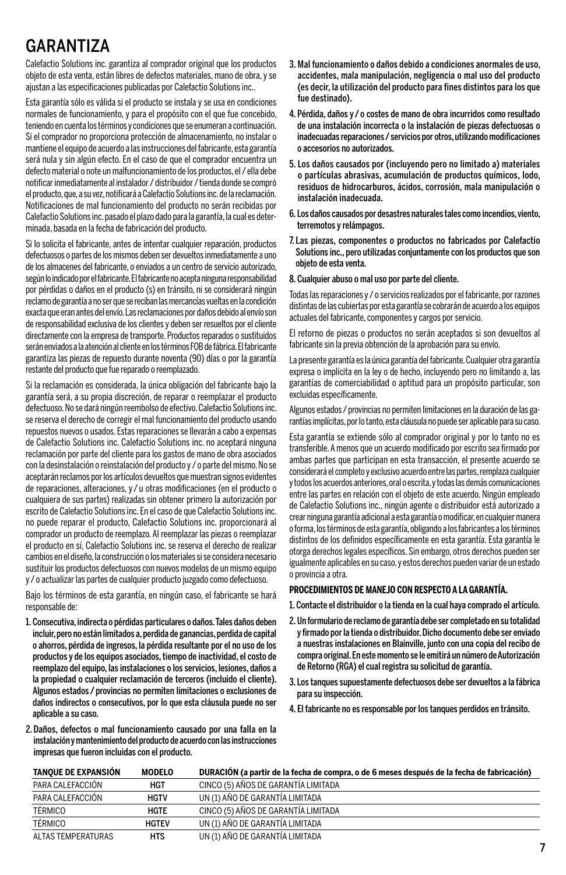## GARANTIZA

Calefactio Solutions inc. garantiza al comprador original que los productos objeto de esta venta, están libres de defectos materiales, mano de obra, y se ajustan a las especificaciones publicadas por Calefactio Solutions inc..

Esta garantía sólo es válida si el producto se instala y se usa en condiciones normales de funcionamiento, y para el propósito con el que fue concebido, teniendo en cuenta los términos y condiciones que se enumeran a continuación. Si el comprador no proporciona protección de almacenamiento, no instalar o mantiene el equipo de acuerdo a las instrucciones del fabricante, esta garantía será nula y sin algún efecto. En el caso de que el comprador encuentra un defecto material o note un malfuncionamiento de los productos, el / ella debe notificar inmediatamente al instalador / distribuidor / tienda donde se compró el producto, que, a su vez, notificará a Calefactio Solutions inc. de la reclamación. Notificaciones de mal funcionamiento del producto no serán recibidas por Calefactio Solutions inc. pasado el plazo dado para la garantía, la cual es determinada, basada en la fecha de fabricación del producto.

Si lo solicita el fabricante, antes de intentar cualquier reparación, productos defectuosos o partes de los mismos deben ser devueltos inmediatamente a uno de los almacenes del fabricante, o enviados a un centro de servicio autorizado, según lo indicado por el fabricante. El fabricante no acepta ninguna responsabilidad por pérdidas o daños en el producto (s) en tránsito, ni se considerará ningún reclamo de garantía a no ser que se reciban las mercancías vueltas en la condición exacta que eran antes del envío. Las reclamaciones por daños debido al envío son de responsabilidad exclusiva de los clientes y deben ser resueltos por el cliente directamente con la empresa de transporte. Productos reparados o sustituidos serán enviados a la atención al cliente en los términos FOB de fábrica. El fabricante garantiza las piezas de repuesto durante noventa (90) días o por la garantía restante del producto que fue reparado o reemplazado.

Si la reclamación es considerada, la única obligación del fabricante bajo la garantía será, a su propia discreción, de reparar o reemplazar el producto defectuoso. No se dará ningún reembolso de efectivo. Calefactio Solutions inc. se reserva el derecho de corregir el mal funcionamiento del producto usando repuestos nuevos o usados. Estas reparaciones se llevarán a cabo a expensas de Calefactio Solutions inc. Calefactio Solutions inc. no aceptará ninguna reclamación por parte del cliente para los gastos de mano de obra asociados con la desinstalación o reinstalación del producto y / o parte del mismo. No se aceptarán reclamos por los artículos devueltos que muestran signos evidentes de reparaciones, alteraciones, y / u otras modificaciones (en el producto o cualquiera de sus partes) realizadas sin obtener primero la autorización por escrito de Calefactio Solutions inc. En el caso de que Calefactio Solutions inc. no puede reparar el producto, Calefactio Solutions inc. proporcionará al comprador un producto de reemplazo. Al reemplazar las piezas o reemplazar el producto en sí, Calefactio Solutions inc. se reserva el derecho de realizar cambios en el diseño, la construcción o los materiales si se considera necesario sustituir los productos defectuosos con nuevos modelos de un mismo equipo y / o actualizar las partes de cualquier producto juzgado como defectuoso.

Bajo los términos de esta garantía, en ningún caso, el fabricante se hará responsable de:

1. Consecutiva, indirecta o pérdidas particulares o daños. Tales daños deben incluir, pero no están limitados a, perdida de ganancias, perdida de capital o ahorros, pérdida de ingresos, la pérdida resultante por el no uso de los productos y de los equipos asociados, tiempo de inactividad, el costo de reemplazo del equipo, las instalaciones o los servicios, lesiones, daños a la propiedad o cualquier reclamación de terceros (incluido el cliente). Algunos estados / provincias no permiten limitaciones o exclusiones de daños indirectos o consecutivos, por lo que esta cláusula puede no ser aplicable a su caso.

- 3. Mal funcionamiento o daños debido a condiciones anormales de uso, acci dentes, mala manipulación, negligencia o mal uso del producto (es decir, la utilización del producto para fines distintos para los que fue destinado).
- 4. Pérdida, daños y / o costes de mano de obra incurridos como resultado de una instalación incorrecta o la instalación de piezas defectuosas o inade cuadas reparaciones / servicios por otros, utilizando modificaciones o accesorios no autorizados.
- 5. Los daños causados por (incluyendo pero no limitado a) materiales o partículas abrasivas, acumulación de productos químicos, lodo, residuos de hidrocarburos, ácidos, corrosión, mala manipulación o instalación inadecuada.
- 6. Los daños causados por desastres naturales tales como incendios, viento, terremotos y relámpagos.
- 7. Las piezas, componentes o productos no fabricados por Calefactio Solutions inc., pero utilizadas conjuntamente con los productos que son objeto de esta venta.
- 8. Cualquier abuso o mal uso por parte del cliente.

Todas las reparaciones y / o servicios realizados por el fabricante, por razones distintas de las cubiertas por esta garantía se cobrarán de acuerdo a los equipos actuales del fabricante, componentes y cargos por servicio.

El retorno de piezas o productos no serán aceptados si son devueltos al fabricante sin la previa obtención de la aprobación para su envío.

La presente garantía es la única garantía del fabricante. Cualquier otra garantía expresa o implícita en la ley o de hecho, incluyendo pero no limitando a, las garantías de comerciabilidad o aptitud para un propósito particular, son excluidas específicamente.

Algunos estados / provincias no permiten limitaciones en la duración de las garan tías implícitas, por lo tanto, esta cláusula no puede ser aplicable para su caso.

Esta garantía se extiende sólo al comprador original y por lo tanto no es transferible. A menos que un acuerdo modificado por escrito sea firmado por ambas partes que participan en esta transacción, el presente acuerdo se considerará el completo y exclusivo acuerdo entre las partes, remplaza cualquier y todos los acuerdos anteriores, oral o escrita, y todas las demás comunicaciones entre las partes en relación con el objeto de este acuerdo. Ningún empleado de Calefactio Solutions inc., ningún agente o distribuidor está autorizado a crear ninguna garantía adicional a esta garantía o modificar, en cualquier manera o forma, los términos de esta garantía, obligando a los fabricantes a los términos distintos de los definidos específicamente en esta garantía. Esta garantía le otorga derechos legales específicos. Sin embargo, otros derechos pueden ser igualmente aplicables en su caso, y estos derechos pueden variar de un estado o provincia a otra.

#### **PROCEDIMIENTOS DE MANEJO CON RESPECTO A LA GARANTÍA.**

1. Contacte el distribuidor o la tienda en la cual haya comprado el artículo.

- 2. Un formulario de reclamo de garantía debe ser completado en su totalidad y firmado por la tienda o distribuidor. Dicho documento debe ser enviado a nuestras instalaciones en Blainville, junto con una copia del recibo de compra original. En este momento se le emitirá un número de Autorización de Retorno (RGA) el cual registra su solicitud de garantía.
- 3. Los tanques supuestamente defectuosos debe ser devueltos a la fábrica para su inspección.
- 4. El fabricante no es responsable por los tanques perdidos en tránsito.
- 2. Daños, defectos o mal funcionamiento causado por una falla en la instalación y mantenimiento del producto de acuerdo con las instrucciones impresas que fueron incluidas con el producto.

| TANQUE DE EXPANSIÓN | <b>MODELO</b> | DURACIÓN (a partir de la fecha de compra, o de 6 meses después de la fecha de fabricación) |
|---------------------|---------------|--------------------------------------------------------------------------------------------|
| PARA CALEFACCIÓN    | <b>HGT</b>    | CINCO (5) AÑOS DE GARANTÍA LIMITADA                                                        |
| PARA CALEFACCIÓN    | <b>HGTV</b>   | UN (1) AÑO DE GARANTÍA LIMITADA                                                            |
| TÉRMICO             | HGTE          | CINCO (5) AÑOS DE GARANTÍA LIMITADA                                                        |
| TÉRMICO             | <b>HGTEV</b>  | UN (1) AÑO DE GARANTÍA LIMITADA                                                            |
| ALTAS TEMPERATURAS  | <b>HTS</b>    | UN (1) AÑO DE GARANTÍA LIMITADA                                                            |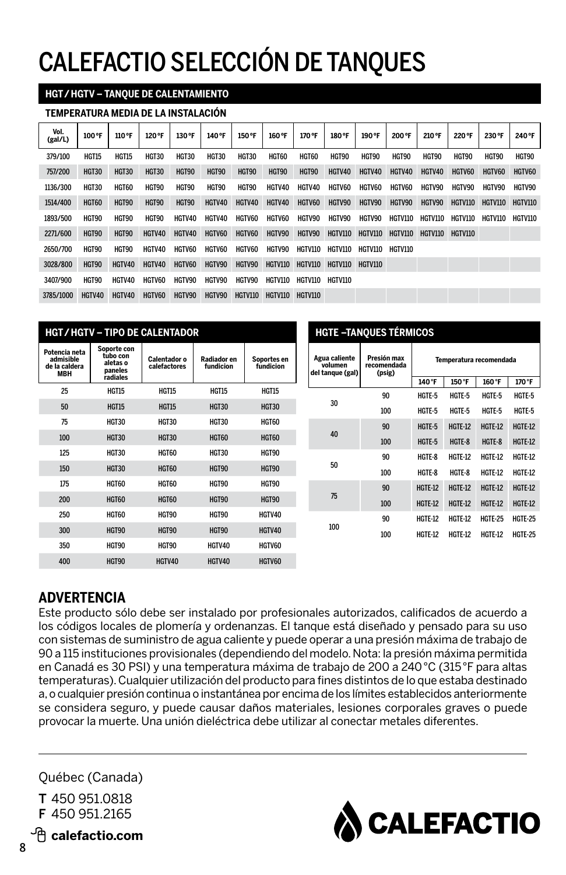## CALEFACTIO SELECCIÓN DE TANQUES

#### **HGT / HGTV – TANQUE DE CALENTAMIENTO**

#### **TEMPERATURA MEDIA DE LA INSTALACIÓN**

| Vol.<br>(gal/L) | 100 °F       | 110 °F       | 120 °F | 130 °F       | 140°F        | 150 °F        | 160 °F         | 170°F          | 180°F           | 190 °F  | 200°F          | 210 °F          | 220°F          | 230 °F         | 240°F        |
|-----------------|--------------|--------------|--------|--------------|--------------|---------------|----------------|----------------|-----------------|---------|----------------|-----------------|----------------|----------------|--------------|
| 379/100         | <b>HGT15</b> | <b>HGT15</b> | HGT30  | <b>HGT30</b> | <b>HGT30</b> | HGT30         | <b>HGT60</b>   | <b>HGT60</b>   | HGT90           | HGT90   | HGT90          | HGT90           | HGT90          | HGT90          | <b>HGT90</b> |
| 757/200         | HGT30        | <b>HGT30</b> | HGT30  | HGT90        | HGT90        | HGT90         | HGT90          | HGT90          | HGTV40          | HGTV40  | HGTV40         | HGTV40          | HGTV60         | HGTV60         | HGTV60       |
| 1136/300        | HGT30        | HGT60        | HGT90  | HGT90        | <b>HGT90</b> | HGT90         | HGTV40         | HGTV40         | <b>HGTV60</b>   | HGTV60  | <b>HGTV60</b>  | HGTV90          | HGTV90         | HGTV90         | HGTV90       |
| 1514/400        | HGT60        | <b>HGT90</b> | HGT90  | HGT90        | HGTV40       | HGTV40        | HGTV40         | HGTV60         | HGTV90          | HGTV90  | HGTV90         | HGTV90          | HGTV110        | <b>HGTV110</b> | HGTV110      |
| 1893/500        | HGT90        | <b>HGT90</b> | HGT90  | HGTV40       | HGTV40       | HGTV60        | <b>HGTV60</b>  | HGTV90         | HGTV90          | HGTV90  | HGTV110        | <b>HGTV110</b>  | <b>HGTV110</b> | <b>HGTV110</b> | HGTV110      |
| 2271/600        | HGT90        | HGT90        | HGTV40 | HGTV40       | HGTV60       | <b>HGTV60</b> | HGTV90         | HGTV90         | HGTV110         | HGTV110 | HGTV110        | HGTV110 HGTV110 |                |                |              |
| 2650/700        | HGT90        | <b>HGT90</b> | HGTV40 | HGTV60       | HGTV60       | HGTV60        | HGTV90         | HGTV110        | HGTV110         | HGTV110 | <b>HGTV110</b> |                 |                |                |              |
| 3028/800        | HGT90        | HGTV40       | HGTV40 | HGTV60       | HGTV90       | HGTV90        | HGTV110        | HGTV110        | HGTV110 HGTV110 |         |                |                 |                |                |              |
| 3407/900        | HGT90        | HGTV40       | HGTV60 | HGTV90       | HGTV90       | HGTV90        | HGTV110        | HGTV110        | <b>HGTV110</b>  |         |                |                 |                |                |              |
| 3785/1000       | HGTV40       | HGTV40       | HGTV60 | HGTV90       | HGTV90       | HGTV110       | <b>HGTV110</b> | <b>HGTV110</b> |                 |         |                |                 |                |                |              |

|                                                           |                                                            | <b>HGT/HGTV - TIPO DE CALENTADOR</b> |                          |                          | <b>HGTE-TANQUES TÉRMICOS</b>                 |                                      |                |                         |                |                |  |  |  |
|-----------------------------------------------------------|------------------------------------------------------------|--------------------------------------|--------------------------|--------------------------|----------------------------------------------|--------------------------------------|----------------|-------------------------|----------------|----------------|--|--|--|
| Potencia neta<br>admisible<br>de la caldera<br><b>MBH</b> | Soporte con<br>tubo con<br>aletas o<br>paneles<br>radiales | Calentador o<br>calefactores         | Radiador en<br>fundicion | Soportes en<br>fundicion | Agua caliente<br>volumen<br>del tanque (gal) | Presión max<br>recomendada<br>(psig) |                | Temperatura recomendada |                |                |  |  |  |
| 25                                                        | <b>HGT15</b>                                               | <b>HGT15</b>                         | <b>HGT15</b>             | <b>HGT15</b>             |                                              |                                      | 140°F          | 150°F                   | 160°F          | 170°F          |  |  |  |
|                                                           |                                                            |                                      |                          |                          | 30                                           | 90                                   | HGTE-5         | HGTE-5                  | HGTE-5         | HGTE-5         |  |  |  |
| 50                                                        | <b>HGT15</b>                                               | <b>HGT15</b>                         | <b>HGT30</b>             | <b>HGT30</b>             |                                              | 100                                  | HGTE-5         | HGTE-5                  | HGTE-5         | HGTE-5         |  |  |  |
| 75                                                        | HGT30                                                      | HGT30                                | HGT30                    | HGT60                    |                                              | 90                                   | HGTE-5         | <b>HGTE-12</b>          | <b>HGTE-12</b> | <b>HGTE-12</b> |  |  |  |
| 100                                                       | HGT30                                                      | <b>HGT30</b>                         | <b>HGT60</b>             | <b>HGT60</b>             | 40                                           | 100                                  | HGTE-5         | HGTE-8                  | HGTE-8         | <b>HGTE-12</b> |  |  |  |
| 125                                                       | HGT30                                                      | HGT60                                | HGT30                    | HGT90                    |                                              | 90                                   | HGTE-8         | HGTE-12                 | <b>HGTE-12</b> | <b>HGTE-12</b> |  |  |  |
| 150                                                       | HGT30                                                      | <b>HGT60</b>                         | <b>HGT90</b>             | <b>HGT90</b>             | 50                                           | 100                                  | HGTE-8         | HGTE-8                  | <b>HGTE-12</b> | <b>HGTE-12</b> |  |  |  |
| 175                                                       | HGT60                                                      | HGT60                                | HGT90                    | HGT90                    |                                              | 90                                   | <b>HGTE-12</b> | <b>HGTE-12</b>          | <b>HGTE-12</b> | <b>HGTE-12</b> |  |  |  |
| 200                                                       | <b>HGT60</b>                                               | <b>HGT60</b>                         | HGT90                    | HGT90                    | 75                                           | 100                                  | <b>HGTE-12</b> | <b>HGTE-12</b>          | <b>HGTE-12</b> | <b>HGTE-12</b> |  |  |  |
| 250                                                       | HGT60                                                      | HGT90                                | HGT90                    | HGTV40                   |                                              | 90                                   | <b>HGTE-12</b> | HGTE-12                 | <b>HGTE-25</b> | <b>HGTE-25</b> |  |  |  |
| 300                                                       | HGT90                                                      | HGT90                                | HGT90                    | HGTV40                   | 100                                          | 100                                  | HGTE-12        | HGTE-12                 | HGTE-12        | <b>HGTE-25</b> |  |  |  |
| 350                                                       | HGT90                                                      | HGT90                                | HGTV40                   | HGTV60                   |                                              |                                      |                |                         |                |                |  |  |  |
| 400                                                       | HGT90                                                      | HGTV40                               | HGTV40                   | HGTV60                   |                                              |                                      |                |                         |                |                |  |  |  |

### **ADVERTENCIA**

Este producto sólo debe ser instalado por profesionales autorizados, calificados de acuerdo a los códigos locales de plomería y ordenanzas. El tanque está diseñado y pensado para su uso con sistemas de suministro de agua caliente y puede operar a una presión máxima de trabajo de 90 a 115 instituciones provisionales (dependiendo del modelo. Nota: la presión máxima permitida en Canadá es 30 PSI) y una temperatura máxima de trabajo de 200 a 240 °C (315 °F para altas temperaturas). Cualquier utilización del producto para fines distintos de lo que estaba destinado a, o cualquier presión continua o instantánea por encima de los límites establecidos anteriormente se considera seguro, y puede causar daños materiales, lesiones corporales graves o puede provocar la muerte. Una unión dieléctrica debe utilizar al conectar metales diferentes.

Québec (Canada)

T 450 951.0818 F 450 951.2165



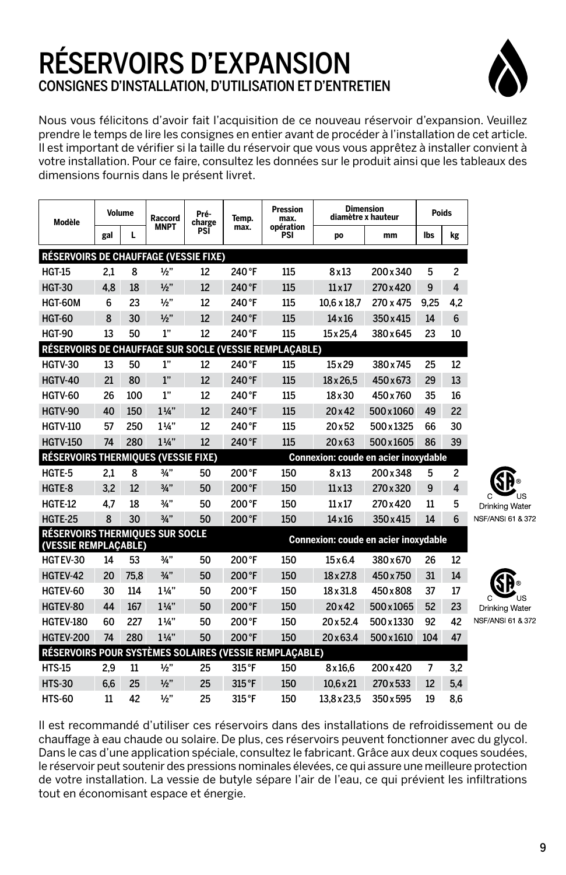## RÉSERVOIRS D'EXPANSION CONSIGNES D'INSTALLATION, D'UTILISATION ET D'ENTRETIEN



Nous vous félicitons d'avoir fait l'acquisition de ce nouveau réservoir d'expansion. Veuillez prendre le temps de lire les consignes en entier avant de procéder à l'installation de cet article. Il est important de vérifier si la taille du réservoir que vous vous apprêtez à installer convient à votre installation. Pour ce faire, consultez les données sur le produit ainsi que les tableaux des dimensions fournis dans le présent livret.

| Modèle                                                         |     | <b>Volume</b> | Raccord         | Pré-<br>charge | Temp.  | <b>Pression</b><br>max. |                                      | <b>Dimension</b><br>diamètre x hauteur | Poids |                |            |
|----------------------------------------------------------------|-----|---------------|-----------------|----------------|--------|-------------------------|--------------------------------------|----------------------------------------|-------|----------------|------------|
|                                                                | gal | L             | <b>MNPT</b>     | PSI            | max.   | opération<br>PSI        | po                                   | mm                                     | lbs   | kg             |            |
| <b>RÉSERVOIRS DE CHAUFFAGE (VESSIE FIXE)</b>                   |     |               |                 |                |        |                         |                                      |                                        |       |                |            |
| <b>HGT-15</b>                                                  | 2,1 | 8             | 1/2"            | 12             | 240 °F | 115                     | 8x13                                 | 200 x 340                              | 5     | $\overline{c}$ |            |
| <b>HGT-30</b>                                                  | 4.8 | 18            | 1/2"            | 12             | 240°F  | 115                     | $11 \times 17$                       | 270 x 420                              | 9     | $\overline{4}$ |            |
| HGT-60M                                                        | 6   | 23            | 1/2"            | 12             | 240 °F | 115                     | 10.6 x 18.7                          | 270 x 475                              | 9.25  | 4.2            |            |
| <b>HGT-60</b>                                                  | 8   | 30            | $\frac{1}{2}$ " | 12             | 240°F  | 115                     | $14 \times 16$                       | 350 x 415                              | 14    | 6              |            |
| <b>HGT-90</b>                                                  | 13  | 50            | 1"              | 12             | 240 °F | 115                     | 15 x 25.4                            | 380x645                                | 23    | 10             |            |
| RÉSERVOIRS DE CHAUFFAGE SUR SOCLE (VESSIE REMPLACABLE)         |     |               |                 |                |        |                         |                                      |                                        |       |                |            |
| <b>HGTV-30</b>                                                 | 13  | 50            | 1"              | 12             | 240°F  | 115                     | $15 \times 29$                       | 380 x 745                              | 25    | 12             |            |
| <b>HGTV-40</b>                                                 | 21  | 80            | 1"              | 12             | 240°F  | 115                     | $18 \times 26.5$                     | 450x673                                | 29    | 13             |            |
| HGTV-60                                                        | 26  | 100           | 1"              | 12             | 240°F  | 115                     | 18 x 30                              | 450 x 760                              | 35    | 16             |            |
| HGTV-90                                                        | 40  | 150           | $1\frac{1}{4}$  | 12             | 240°F  | 115                     | $20 \times 42$                       | 500 x 1060                             | 49    | 22             |            |
| <b>HGTV-110</b>                                                | 57  | 250           | $1\frac{1}{4}$  | 12             | 240°F  | 115                     | 20x52                                | 500x1325                               | 66    | 30             |            |
| <b>HGTV-150</b>                                                | 74  | 280           | $1\frac{1}{4}$  | 12             | 240°F  | 115                     | 20x63                                | 500x1605                               | 86    | 39             |            |
| RÉSERVOIRS THERMIQUES (VESSIE FIXE)                            |     |               |                 |                |        |                         | Connexion: coude en acier inoxydable |                                        |       |                |            |
| HGTE-5                                                         | 2,1 | 8             | 3/4"            | 50             | 200°F  | 150                     | 8x13                                 | 200x348                                | 5     | $\overline{c}$ |            |
| HGTE-8                                                         | 3.2 | 12            | 3/4"            | 50             | 200°F  | 150                     | $11 \times 13$                       | 270 x 320                              | 9     | 4              |            |
| HGTE-12                                                        | 4.7 | 18            | 3/4"            | 50             | 200°F  | 150                     | $11 \times 17$                       | 270 x 420                              | 11    | 5              | C<br>Drink |
| HGTE-25                                                        | 8   | 30            | 3/4"            | 50             | 200°F  | 150                     | $14 \times 16$                       | 350 x 415                              | 14    | 6              | NSF/AN     |
| <b>RÉSERVOIRS THERMIQUES SUR SOCLE</b><br>(VESSIE REMPLACABLE) |     |               |                 |                |        |                         | Connexion: coude en acier inoxydable |                                        |       |                |            |
| HGTEV-30                                                       | 14  | 53            | 3/4"            | 50             | 200°F  | 150                     | $15\times 6.4$                       | 380 x 670                              | 26    | 12             |            |
| HGTEV-42                                                       | 20  | 75.8          | 3/4"            | 50             | 200°F  | 150                     | 18 x 27.8                            | 450 x 750                              | 31    | 14             |            |
| HGTEV-60                                                       | 30  | 114           | $1\frac{1}{4}$  | 50             | 200°F  | 150                     | 18 x 31.8                            | 450×808                                | 37    | 17             | C.         |
| HGTEV-80                                                       | 44  | 167           | $1\frac{1}{4}$  | 50             | 200°F  | 150                     | $20 \times 42$                       | 500x1065                               | 52    | 23             | Drink      |
| <b>HGTEV-180</b>                                               | 60  | 227           | $1\frac{1}{4}$  | 50             | 200°F  | 150                     | 20 x 52.4                            | 500x1330                               | 92    | 42             | NSF/AN     |
| <b>HGTEV-200</b>                                               | 74  | 280           | $1\frac{1}{4}$  | 50             | 200°F  | 150                     | $20 \times 63.4$                     | 500x1610                               | 104   | 47             |            |
| RÉSERVOIRS POUR SYSTÈMES SOLAIRES (VESSIE REMPLACABLE)         |     |               |                 |                |        |                         |                                      |                                        |       |                |            |
| <b>HTS-15</b>                                                  | 2,9 | 11            | 1/2"            | 25             | 315°F  | 150                     | 8x16,6                               | 200 x 420                              | 7     | 3,2            |            |
| <b>HTS-30</b>                                                  | 6,6 | 25            | 1/2"            | 25             | 315°F  | 150                     | $10,6 \times 21$                     | 270 x 533                              | 12    | 5,4            |            |
| <b>HTS-60</b>                                                  | 11  | 42            | 1/2"            | 25             | 315°F  | 150                     | 13,8 x 23.5                          | 350 x 595                              | 19    | 8,6            |            |

an Water

**JSL61 & 372** 

**JSL61 & 372** 

Il est recommandé d'utiliser ces réservoirs dans des installations de refroidissement ou de chauffage à eau chaude ou solaire. De plus, ces réservoirs peuvent fonctionner avec du glycol. Dans le cas d'une application spéciale, consultez le fabricant. Grâce aux deux coques soudées, le réservoir peut soutenir des pressions nominales élevées, ce qui assure une meilleure protection de votre installation. La vessie de butyle sépare l'air de l'eau, ce qui prévient les infiltrations tout en économisant espace et énergie.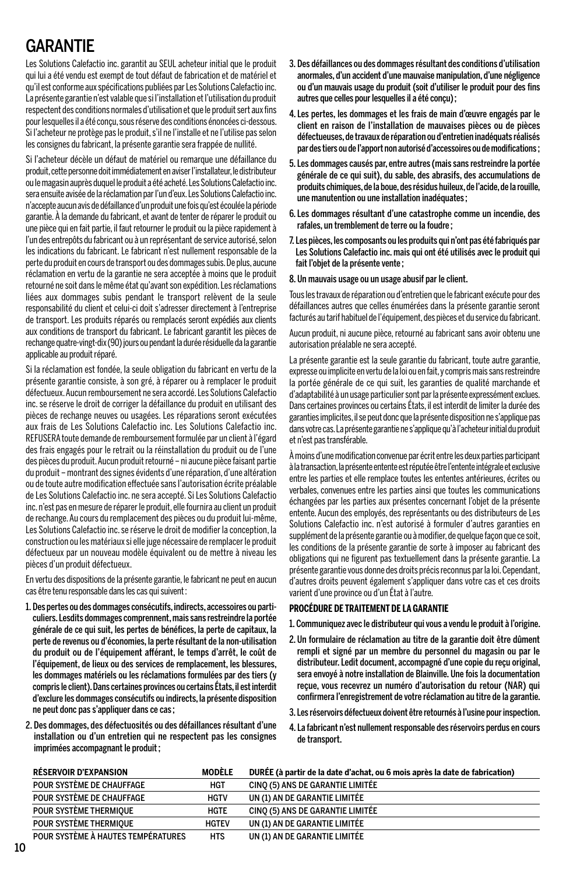## GARANTIE

Les Solutions Calefactio inc. garantit au SEUL acheteur initial que le produit qui lui a été vendu est exempt de tout défaut de fabrication et de matériel et qu'il est conforme aux spécifications publiées par Les Solutions Calefactio inc. La présente garantie n'est valable que si l'installation et l'utilisation du produit respectent des conditions normales d'utilisation et que le produit sert aux fins pour lesquelles il a été conçu, sous réserve des conditions énoncées ci-dessous. Si l'acheteur ne protège pas le produit, s'il ne l'installe et ne l'utilise pas selon les consignes du fabricant, la présente garantie sera frappée de nullité.

Si l'acheteur décèle un défaut de matériel ou remarque une défaillance du produit, cette personne doit immédiatement en aviser l'instal lateur, le distributeur ou le magasin auprès duquel le produit a été acheté. Les Solutions Calefactio inc. sera ensuite avisée de la réclamation par l'un d'eux. Les Solutions Calefactio inc. n'accepte aucun avis de défaillance d'un produit une fois qu'est écoulée la période garantie. À la demande du fabricant, et avant de tenter de réparer le produit ou une pièce qui en fait partie, il faut retourner le produit ou la pièce rapidement à l'un des entrepôts du fabricant ou à un représentant de service autorisé, selon les indications du fabricant. Le fabricant n'est nullement responsable de la perte du produit en cours de transport ou des dommages subis. De plus, aucune récla mation en vertu de la garantie ne sera acceptée à moins que le produit retourné ne soit dans le même état qu'avant son expédition. Les réclamations liées aux dommages subis pendant le transport relèvent de la seule responsabilité du client et celui-ci doit s'adresser directement à l'entreprise de transport. Les produits réparés ou remplacés seront expédiés aux clients aux conditions de transport du fabricant. Le fabricant garantit les pièces de rechange quatre-vingt-dix (90) jours ou pendant la durée résiduelle da la garantie applicable au produit réparé.

Si la réclamation est fondée, la seule obligation du fabricant en vertu de la présente garantie consiste, à son gré, à réparer ou à remplacer le produit défectueux. Aucun remboursement ne sera accordé. Les Solutions Calefactio inc. se réserve le droit de corriger la défaillance du produit en utilisant des pièces de rechange neuves ou usagées. Les réparations seront exécutées aux frais de Les Solutions Calefactio inc. Les Solutions Calefactio inc. REFUSERA toute demande de remboursement formulée par un client à l'égard des frais engagés pour le retrait ou la réinstallation du produit ou de l'une des pièces du produit. Aucun produit retourné – ni aucune pièce faisant partie du produit – montrant des signes évidents d'une réparation, d'une altération ou de toute autre modification effectuée sans l'autorisation écrite préalable de Les Solutions Calefactio inc. ne sera accepté. Si Les Solutions Calefactio inc. n'est pas en mesure de réparer le produit, elle fournira au client un produit de rechange. Au cours du remplacement des pièces ou du produit lui-même, Les Solutions Calefactio inc. se réserve le droit de modifier la conception, la construction ou les matériaux si elle juge nécessaire de remplacer le produit défectueux par un nouveau modèle équivalent ou de mettre à niveau les pièces d'un produit défectueux.

En vertu des dispositions de la présente garantie, le fabricant ne peut en aucun cas être tenu responsable dans les cas qui suivent :

- 1. Des pertes ou des dommages consécutifs, indirects, accessoires ou particuliers. Lesdits dommages comprennent, mais sans restreindre la portée générale de ce qui suit, les pertes de bénéfices, la perte de capitaux, la perte de revenus ou d'économies, la perte résultant de la non-utilisation du produit ou de l'équipement afférant, le temps d'arrêt, le coût de l'équipement, de lieux ou des services de remplacement, les blessures, les dommages matériels ou les réclamations formulées par des tiers (y compris le client). Dans certaines provinces ou certains États, il est interdit d'exclure les dommages consécutifs ou indirects, la présente disposition ne peut donc pas s'appliquer dans ce cas ;
- 2. Des dommages, des défectuosités ou des défaillances résultant d'une installation ou d'un entretien qui ne respectent pas les consignes imprimées accompagnant le produit ;
- 3. Des défaillances ou des dommages résultant des conditions d'utilisation anormales, d'un accident d'une mauvaise manipulation, d'une négligence ou d'un mauvais usage du produit (soit d'utiliser le produit pour des fins autres que celles pour lesquelles il a été concu) :
- 4. Les pertes, les dommages et les frais de main d'œuvre engagés par le client en raison de l'installation de mauvaises pièces ou de pièces défectueuses, de travaux de réparation ou d'entretien inadéquats réalisés par des tiers ou de l'apport non autorisé d'accessoires ou de modifications ;
- 5. Les dommages causés par, entre autres (mais sans restreindre la portée générale de ce qui suit), du sable, des abrasifs, des accumulations de pro duits chimiques, de la boue, des résidus huileux, de l'acide, de la rouille, une manutention ou une installation inadéquates ;
- 6. Les dommages résultant d'une catastrophe comme un incendie, des rafales, un tremblement de terre ou la foudre ;
- 7. Les pièces, les composants ou les produits qui n'ont pas été fabriqués par Les Solutions Calefactio inc. mais qui ont été utilisés avec le produit qui fait l'objet de la présente vente ;
- 8. Un mauvais usage ou un usage abusif par le client.

Tous les travaux de réparation ou d'entretien que le fabricant exécute pour des défaillances autres que celles énumérées dans la présente garantie seront facturés au tarif habituel de l'équipement, des pièces et du service du fabricant.

Aucun produit, ni aucune pièce, retourné au fabricant sans avoir obtenu une autorisation préalable ne sera accepté.

La présente garantie est la seule garantie du fabricant, toute autre garantie, expresse ou implicite en vertu de la loi ou en fait, y compris mais sans restreindre la portée générale de ce qui suit, les garanties de qualité marchande et d'adaptabilité à un usage particulier sont par la présente expressément exclues. Dans certaines provinces ou cer tains États, il est interdit de limiter la durée des garanties implicites, il se peut donc que la présente disposition ne s'applique pas dans votre cas. La présente garantie ne s'applique qu'à l'acheteur initial du produit et n'est pas transférable.

À moins d'une modification convenue par écrit entre les deux parties participant à la transaction, la présente entente est réputée être l'entente intégrale et exclusive entre les parties et elle remplace toutes les ententes antérieures, écrites ou verbales, convenues entre les parties ainsi que toutes les communications échangées par les parties aux présentes concernant l'objet de la présente entente. Aucun des employés, des représentants ou des distributeurs de Les Solutions Calefactio inc. n'est autorisé à formuler d'autres garanties en supplément de la présente garantie ou à modifier, de quelque façon que ce soit, les conditions de la présente garantie de sorte à imposer au fabricant des obligations qui ne figurent pas textuellement dans la présente garantie. La présente garantie vous donne des droits précis reconnus par la loi. Cependant, d'autres droits peuvent également s'appliquer dans votre cas et ces droits varient d'une province ou d'un État à l'autre.

#### **PROCÉDURE DE TRAITEMENT DE LA GARANTIE**

- 1. Communiquez avec le distributeur qui vous a vendu le produit à l'origine.
- 2. Un formulaire de réclamation au titre de la garantie doit être dûment rempli et signé par un membre du personnel du magasin ou par le distributeur. Ledit document, accompagné d'une copie du reçu original, sera envoyé à notre installation de Blainville. Une fois la documentation reçue, vous recevrez un numéro d'autorisation du retour (NAR) qui confirmera l'enregistrement de votre réclamation au titre de la garantie.
- 3. Les réservoirs défectueux doivent être retournés à l'usine pour inspection.
- 4. La fabricant n'est nullement responsable des réservoirs perdus en cours de transport.

| <b>RÉSERVOIR D'EXPANSION</b>       | MODÈLE       | DURÉE (à partir de la date d'achat, ou 6 mois après la date de fabrication) |
|------------------------------------|--------------|-----------------------------------------------------------------------------|
| POUR SYSTÈME DE CHAUFFAGE          | HGT          | CINO (5) ANS DE GARANTIE LIMITÉE                                            |
| POUR SYSTÈME DE CHAUFFAGE          | <b>HGTV</b>  | UN (1) AN DE GARANTIE LIMITÉE                                               |
| POUR SYSTÈME THERMIQUE             | HGTE         | CINO (5) ANS DE GARANTIE LIMITÉE                                            |
| POUR SYSTÈME THERMIOUE             | <b>HGTEV</b> | UN (1) AN DE GARANTIE LIMITÉE                                               |
| POUR SYSTÈME À HAUTES TEMPÉRATURES | <b>HTS</b>   | UN (1) AN DE GARANTIE LIMITÉE                                               |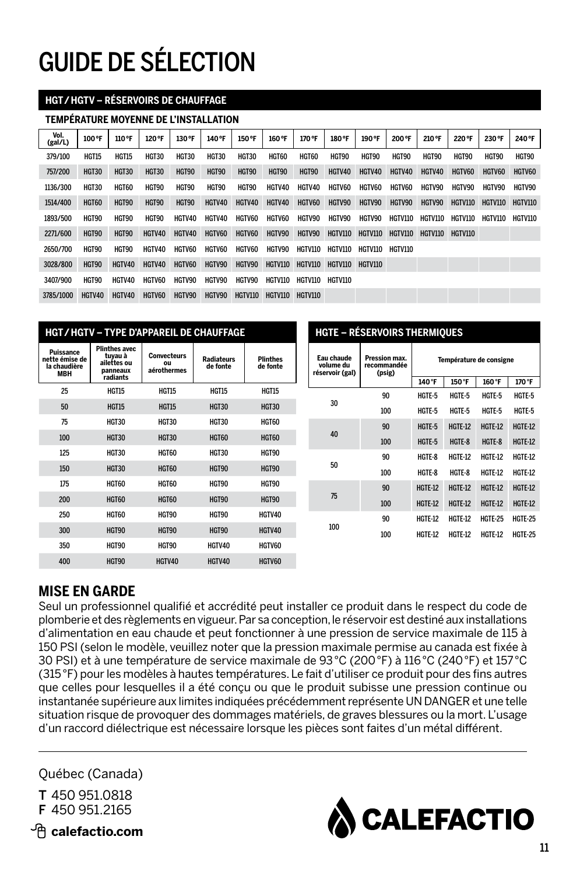# GUIDE DE SÉLECTION

#### **HGT / HGTV – RéseRvoiRs de cHauffage**

#### **tempéRatuRe moyenne de l'installation**

| Vol.<br>(gal/L) | 100 °F       | 110 °F       | 120 °F        | 130 °F        | 140°F         | 150 °F       | 160 °F         | 170°F           | 180°F           | 190 °F          | 200°F           | 210 °F          | 220 °F  | 230 °F         | 240°F          |
|-----------------|--------------|--------------|---------------|---------------|---------------|--------------|----------------|-----------------|-----------------|-----------------|-----------------|-----------------|---------|----------------|----------------|
| 379/100         | <b>HGT15</b> | <b>HGT15</b> | HGT30         | <b>HGT30</b>  | HGT30         | <b>HGT30</b> | HGT60          | HGT60           | HGT90           | <b>HGT90</b>    | <b>HGT90</b>    | HGT90           | HGT90   | HGT90          | <b>HGT90</b>   |
| 757/200         | HGT30        | HGT30        | HGT30         | HGT90         | HGT90         | HGT90        | HGT90          | HGT90           | HGTV40          | HGTV40          | HGTV40          | HGTV40          | HGTV60  | HGTV60         | HGTV60         |
| 1136/300        | HGT30        | HGT60        | HGT90         | HGT90         | <b>HGT90</b>  | HGT90        | HGTV40         | HGTV40          | <b>HGTV60</b>   | <b>HGTV60</b>   | <b>HGTV60</b>   | HGTV90          | HCTV90  | HGTV90         | HGTV90         |
| 1514/400        | HGT60        | <b>HGT90</b> | <b>HGT90</b>  | <b>HGT90</b>  | HGTV40        | HGTV40       | HGTV40         | HGTV60          | HGTV90          | HGTV90          | HGTV90          | HGTV90          | HGTV110 | <b>HGTV110</b> | <b>HGTV110</b> |
| 1893/500        | HGT90        | <b>HGT90</b> | HGT90         | HGTV40        | HGTV40        | HGTV60       | <b>HGTV60</b>  | HGTV90          | <b>HGTV90</b>   | HGTV90          | HGTV110         | HGTV110         | HGTV110 | HGTV110        | HGTV110        |
| 2271/600        | HGT90        | <b>HGT90</b> | HGTV40        | HGTV40        | HGTV60        | HGTV60       | HGTV90         | HGTV90          | <b>HGTV110</b>  |                 | HGTV110 HGTV110 | HGTV110 HGTV110 |         |                |                |
| 2650/700        | HGT90        | <b>HGT90</b> | HGTV40        | <b>HGTV60</b> | <b>HGTV60</b> | HGTV60       | HGTV90         | HGTV110         | HGTV110         | HGTV110 HGTV110 |                 |                 |         |                |                |
| 3028/800        | <b>HGT90</b> | HGTV40       | HGTV40        | HGTV60        | HGTV90        | HGTV90       | <b>HGTV110</b> | HGTV110         | HGTV110 HGTV110 |                 |                 |                 |         |                |                |
| 3407/900        | HGT90        | HGTV40       | <b>HGTV60</b> | HGTV90        | HGTV90        | HGTV90       | HGTV110        | HGTV110         | HGTV110         |                 |                 |                 |         |                |                |
| 3785/1000       | HGTV40       | HGTV40       | HGTV60        | HGTV90        | HGTV90        | HGTV110      |                | HGTV110 HGTV110 |                 |                 |                 |                 |         |                |                |

| <b>HGT/HGTV - TYPE D'APPAREIL DE CHAUFFAGE</b>            |                                                                        |                                         |                               |                             |                                            |                                        |                | <b>HGTE - RÉSERVOIRS THERMIQUES</b> |
|-----------------------------------------------------------|------------------------------------------------------------------------|-----------------------------------------|-------------------------------|-----------------------------|--------------------------------------------|----------------------------------------|----------------|-------------------------------------|
| Puissance<br>nette émise de<br>la chaudière<br><b>MBH</b> | <b>Plinthes avec</b><br>tuvau à<br>ailettes ou<br>panneaux<br>radiants | <b>Convecteurs</b><br>ou<br>aérothermes | <b>Radiateurs</b><br>de fonte | <b>Plinthes</b><br>de fonte | Eau chaude<br>volume du<br>réservoir (gal) | Pression max.<br>recommandée<br>(psig) |                | Température de consigne             |
| 25                                                        | <b>HGT15</b>                                                           | <b>HGT15</b>                            | HGT15                         | <b>HGT15</b>                |                                            |                                        | 140°F          | 150°F                               |
|                                                           |                                                                        |                                         |                               |                             | 30                                         | 90                                     | HGTE-5         | HGTE-5                              |
| 50                                                        | <b>HGT15</b>                                                           | <b>HGT15</b>                            | <b>HGT30</b>                  | <b>HGT30</b>                |                                            | 100                                    | HGTE-5         | HGTE-5                              |
| 75                                                        | HGT30                                                                  | HGT30                                   | HGT30                         | HGT60                       |                                            | 90                                     | HGTE-5         | <b>HGTE-12</b>                      |
| 100                                                       | <b>HGT30</b>                                                           | <b>HGT30</b>                            | <b>HGT60</b>                  | <b>HGT60</b>                | 40                                         | 100                                    | HGTE-5         | HGTE-8                              |
| 125                                                       | HGT30                                                                  | HGT60                                   | HGT30                         | HGT90                       |                                            | 90                                     | HGTE-8         | HGTE-12                             |
| 150                                                       | <b>HGT30</b>                                                           | <b>HGT60</b>                            | <b>HGT90</b>                  | <b>HGT90</b>                | 50                                         | 100                                    | HGTE-8         | HGTE-8                              |
| 175                                                       | HGT60                                                                  | HGT60                                   | HGT90                         | HGT90                       |                                            | 90                                     | <b>HGTE-12</b> | <b>HGTE-12</b>                      |
| 200                                                       | <b>HGT60</b>                                                           | <b>HGT60</b>                            | <b>HGT90</b>                  | <b>HGT90</b>                | 75                                         | 100                                    | <b>HGTE-12</b> | <b>HGTE-12</b>                      |
| 250                                                       | HGT60                                                                  | HGT90                                   | HGT90                         | HGTV40                      |                                            | 90                                     | HGTE-12        | <b>HGTE-12</b>                      |
| 300                                                       | HGT90                                                                  | HGT90                                   | HGT90                         | HGTV40                      | 100                                        | 100                                    | HGTE-12        | HGTE-12                             |
| 350                                                       | HGT90                                                                  | HGT90                                   | HGTV40                        | HGTV60                      |                                            |                                        |                |                                     |
| 400                                                       | HGT90                                                                  | HGTV40                                  | HGTV40                        | HGTV60                      |                                            |                                        |                |                                     |

### **MISE EN GARDE**

Seul un professionnel qualifié et accrédité peut installer ce produit dans le respect du code de plomberie et des règlements en vigueur. Par sa conception, le réservoir est destiné aux installations d'alimentation en eau chaude et peut fonctionner à une pression de service maximale de 115 à 150 PSI (selon le modèle, veuillez noter que la pression maximale permise au canada est fixée à 30 PSI) et à une température de service maximale de 93 °C (200 °F) à 116 °C (240 °F) et 157 °C (315 °F) pour les modèles à hautes températures. Le fait d'utiliser ce produit pour des fins autres que celles pour lesquelles il a été conçu ou que le produit subisse une pression continue ou instantanée supérieure aux limites indiquées précédemment représente UN DANGER et une telle situation risque de provoquer des dommages matériels, de graves blessures ou la mort. L'usage d'un raccord diélectrique est nécessaire lorsque les pièces sont faites d'un métal différent.

Québec (Canada)

T 450 951.0818 F 450 951.2165